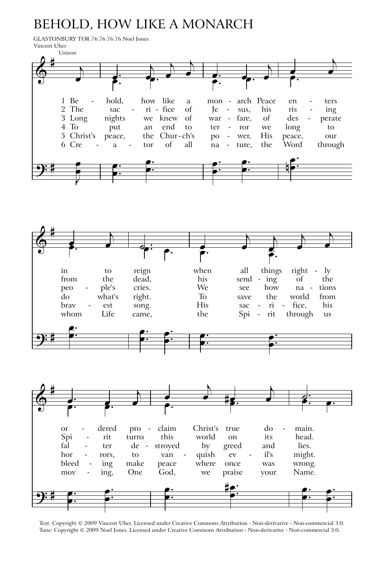## **BEHOLD, HOW LIKE A MONARCH**

GLASTONBURY TOR 76.76.76.76 Noel Jones Vincent Uher







Text: Copyright @ 2009 Vincent Uher. Licensed under Creative Commons Attribution - Non-derivative - Non-commercial 3.0. Tune: Copyright © 2009 Noel Jones. Licensed under Creative Commons Attribution - Non-derivative - Non-commercial 3.0.